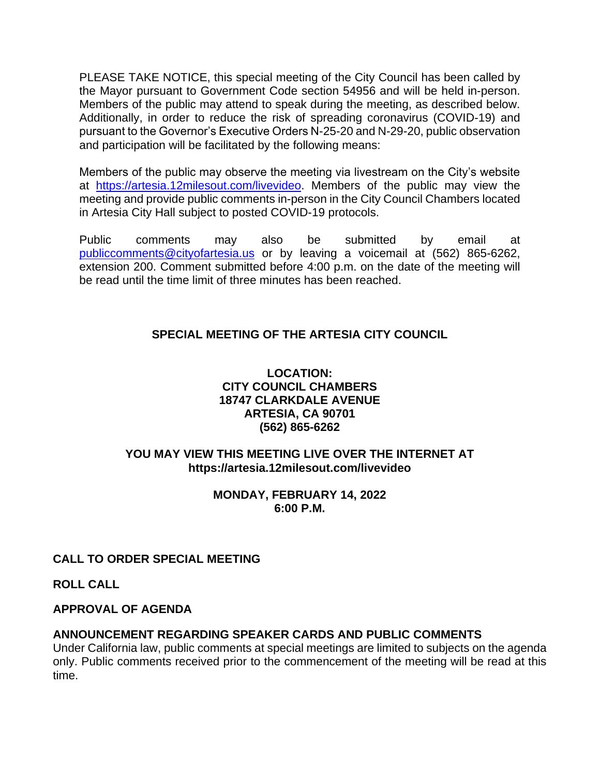PLEASE TAKE NOTICE, this special meeting of the City Council has been called by the Mayor pursuant to Government Code section 54956 and will be held in-person. Members of the public may attend to speak during the meeting, as described below. Additionally, in order to reduce the risk of spreading coronavirus (COVID-19) and pursuant to the Governor's Executive Orders N-25-20 and N-29-20, public observation and participation will be facilitated by the following means:

Members of the public may observe the meeting via livestream on the City's website at [https://artesia.12milesout.com/livevideo.](https://artesia.12milesout.com/livevideo) Members of the public may view the meeting and provide public comments in-person in the City Council Chambers located in Artesia City Hall subject to posted COVID-19 protocols.

Public comments may also be submitted by email at [publiccomments@cityofartesia.us](mailto:publiccomments@cityofartesia.us) or by leaving a voicemail at (562) 865-6262, extension 200. Comment submitted before 4:00 p.m. on the date of the meeting will be read until the time limit of three minutes has been reached.

# **SPECIAL MEETING OF THE ARTESIA CITY COUNCIL**

## **LOCATION: CITY COUNCIL CHAMBERS 18747 CLARKDALE AVENUE ARTESIA, CA 90701 (562) 865-6262**

## **YOU MAY VIEW THIS MEETING LIVE OVER THE INTERNET AT https://artesia.12milesout.com/livevideo**

#### **MONDAY, FEBRUARY 14, 2022 6:00 P.M.**

# **CALL TO ORDER SPECIAL MEETING**

**ROLL CALL** 

## **APPROVAL OF AGENDA**

# **ANNOUNCEMENT REGARDING SPEAKER CARDS AND PUBLIC COMMENTS**

Under California law, public comments at special meetings are limited to subjects on the agenda only. Public comments received prior to the commencement of the meeting will be read at this time.